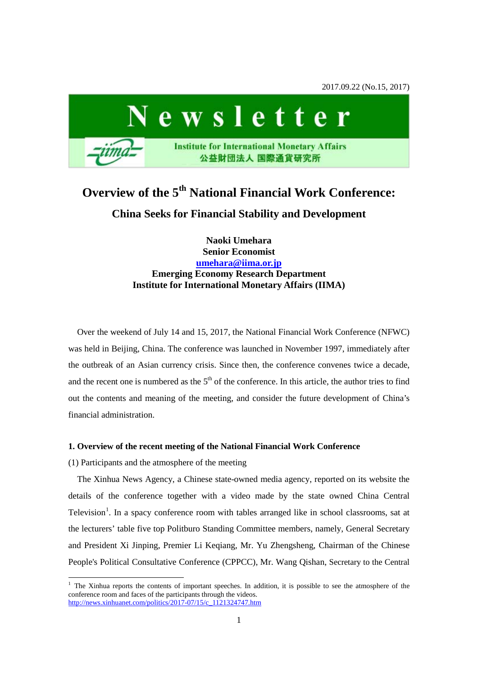2017.09.22 (No.15, 2017)



# **Overview of the 5th National Financial Work Conference: China Seeks for Financial Stability and Development**

**Naoki Umehara Senior Economist [umehara@iima.or.jp](mailto:umehara@iima.or.jp) Emerging Economy Research Department Institute for International Monetary Affairs (IIMA)**

Over the weekend of July 14 and 15, 2017, the National Financial Work Conference (NFWC) was held in Beijing, China. The conference was launched in November 1997, immediately after the outbreak of an Asian currency crisis. Since then, the conference convenes twice a decade, and the recent one is numbered as the  $5<sup>th</sup>$  of the conference. In this article, the author tries to find out the contents and meaning of the meeting, and consider the future development of China's financial administration.

## **1. Overview of the recent meeting of the National Financial Work Conference**

(1) Participants and the atmosphere of the meeting

The Xinhua News Agency, a Chinese state-owned media agency, reported on its website the details of the conference together with a video made by the state owned China Central Television<sup>[1](#page-0-0)</sup>. In a spacy conference room with tables arranged like in school classrooms, sat at the lecturers' table five top Politburo Standing Committee members, namely, General Secretary and President Xi Jinping, Premier Li Keqiang, Mr. Yu Zhengsheng, Chairman of the Chinese People's Political Consultative Conference (CPPCC), Mr. Wang Qishan, Secretary to the Central

<span id="page-0-0"></span><sup>&</sup>lt;sup>1</sup> The Xinhua reports the contents of important speeches. In addition, it is possible to see the atmosphere of the conference room and faces of the participants through the videos. [http://news.xinhuanet.com/politics/2017-07/15/c\\_1121324747.htm](http://news.xinhuanet.com/politics/2017-07/15/c_1121324747.htm)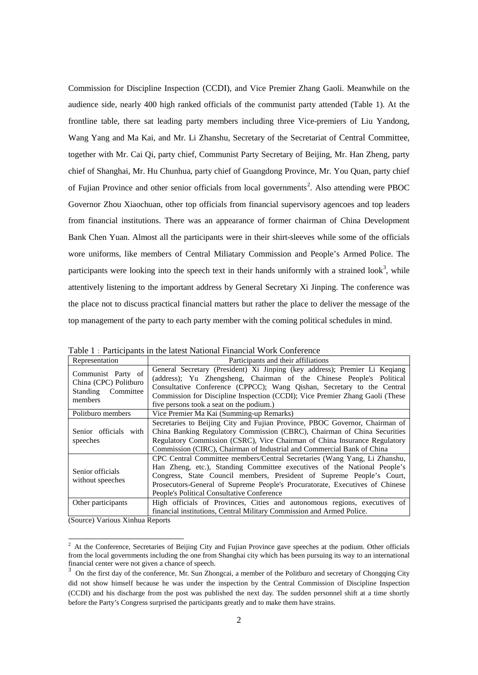Commission for Discipline Inspection (CCDI), and Vice Premier Zhang Gaoli. Meanwhile on the audience side, nearly 400 high ranked officials of the communist party attended (Table 1). At the frontline table, there sat leading party members including three Vice-premiers of Liu Yandong, Wang Yang and Ma Kai, and Mr. Li Zhanshu, Secretary of the Secretariat of Central Committee, together with Mr. Cai Qi, party chief, Communist Party Secretary of Beijing, Mr. Han Zheng, party chief of Shanghai, Mr. Hu Chunhua, party chief of Guangdong Province, Mr. You Quan, party chief of Fujian Province and other senior officials from local governments<sup>[2](#page-1-0)</sup>. Also attending were PBOC Governor Zhou Xiaochuan, other top officials from financial supervisory agencoes and top leaders from financial institutions. There was an appearance of former chairman of China Development Bank Chen Yuan. Almost all the participants were in their shirt-sleeves while some of the officials wore uniforms, like members of Central Miliatary Commission and People's Armed Police. The participants were looking into the speech text in their hands uniformly with a strained look<sup>[3](#page-1-1)</sup>, while attentively listening to the important address by General Secretary Xi Jinping. The conference was the place not to discuss practical financial matters but rather the place to deliver the message of the top management of the party to each party member with the coming political schedules in mind.

| Representation                                                               | Participants and their affiliations                                                                                                                                                                                                                                                                                                                          |  |  |
|------------------------------------------------------------------------------|--------------------------------------------------------------------------------------------------------------------------------------------------------------------------------------------------------------------------------------------------------------------------------------------------------------------------------------------------------------|--|--|
| Communist Party of<br>China (CPC) Politburo<br>Standing Committee<br>members | General Secretary (President) Xi Jinping (key address); Premier Li Keqiang<br>(address); Yu Zhengsheng, Chairman of the Chinese People's Political<br>Consultative Conference (CPPCC); Wang Qishan, Secretary to the Central<br>Commission for Discipline Inspection (CCDI); Vice Premier Zhang Gaoli (These<br>five persons took a seat on the podium.)     |  |  |
| Politburo members                                                            | Vice Premier Ma Kai (Summing-up Remarks)                                                                                                                                                                                                                                                                                                                     |  |  |
| Senior officials with<br>speeches                                            | Secretaries to Beijing City and Fujian Province, PBOC Governor, Chairman of<br>China Banking Regulatory Commission (CBRC), Chairman of China Securities<br>Regulatory Commission (CSRC), Vice Chairman of China Insurance Regulatory<br>Commission (CIRC), Chairman of Industrial and Commercial Bank of China                                               |  |  |
| Senior officials<br>without speeches                                         | CPC Central Committee members/Central Secretaries (Wang Yang, Li Zhanshu,<br>Han Zheng, etc.), Standing Committee executives of the National People's<br>Congress, State Council members, President of Supreme People's Court,<br>Prosecutors-General of Supreme People's Procuratorate, Executives of Chinese<br>People's Political Consultative Conference |  |  |
| Other participants                                                           | High officials of Provinces, Cities and autonomous regions, executives of<br>financial institutions, Central Military Commission and Armed Police.                                                                                                                                                                                                           |  |  |

Table 1: Participants in the latest National Financial Work Conference

(Source) Various Xinhua Reports

<span id="page-1-0"></span><sup>&</sup>lt;sup>2</sup> At the Conference, Secretaries of Beijing City and Fujian Province gave speeches at the podium. Other officials from the local governments including the one from Shanghai city which has been pursuing its way to an international financial center were not given a chance of speech.

<span id="page-1-1"></span><sup>3</sup> On the first day of the conference, Mr. Sun Zhongcai, a member of the Politburo and secretary of Chongqing City did not show himself because he was under the inspection by the Central Commission of Discipline Inspection (CCDI) and his discharge from the post was published the next day. The sudden personnel shift at a time shortly before the Party's Congress surprised the participants greatly and to make them have strains.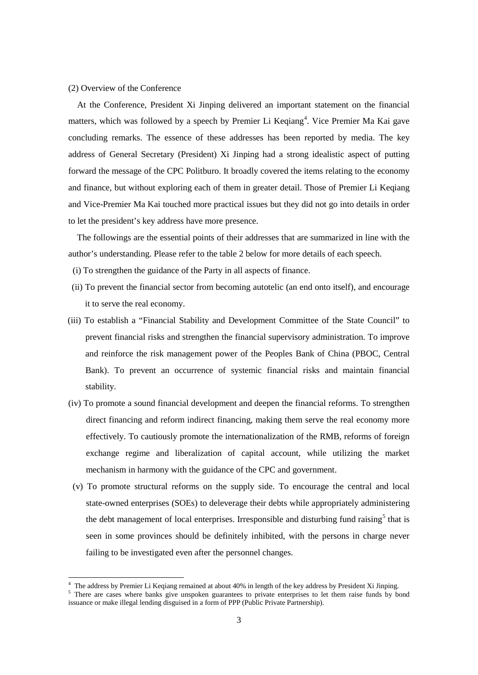#### (2) Overview of the Conference

At the Conference, President Xi Jinping delivered an important statement on the financial matters, which was followed by a speech by Premier Li Keqiang<sup>[4](#page-2-0)</sup>. Vice Premier Ma Kai gave concluding remarks. The essence of these addresses has been reported by media. The key address of General Secretary (President) Xi Jinping had a strong idealistic aspect of putting forward the message of the CPC Politburo. It broadly covered the items relating to the economy and finance, but without exploring each of them in greater detail. Those of Premier Li Keqiang and Vice-Premier Ma Kai touched more practical issues but they did not go into details in order to let the president's key address have more presence.

The followings are the essential points of their addresses that are summarized in line with the author's understanding. Please refer to the table 2 below for more details of each speech.

- (i) To strengthen the guidance of the Party in all aspects of finance.
- (ii) To prevent the financial sector from becoming autotelic (an end onto itself), and encourage it to serve the real economy.
- (iii) To establish a "Financial Stability and Development Committee of the State Council" to prevent financial risks and strengthen the financial supervisory administration. To improve and reinforce the risk management power of the Peoples Bank of China (PBOC, Central Bank). To prevent an occurrence of systemic financial risks and maintain financial stability.
- (iv) To promote a sound financial development and deepen the financial reforms. To strengthen direct financing and reform indirect financing, making them serve the real economy more effectively. To cautiously promote the internationalization of the RMB, reforms of foreign exchange regime and liberalization of capital account, while utilizing the market mechanism in harmony with the guidance of the CPC and government.
- (v) To promote structural reforms on the supply side. To encourage the central and local state-owned enterprises (SOEs) to deleverage their debts while appropriately administering the debt management of local enterprises. Irresponsible and disturbing fund raising<sup>[5](#page-2-1)</sup> that is seen in some provinces should be definitely inhibited, with the persons in charge never failing to be investigated even after the personnel changes.

<sup>&</sup>lt;sup>4</sup> The address by Premier Li Keqiang remained at about 40% in length of the key address by President Xi Jinping.  $5$  There are cases where banks give unspoken guarantees to private enterprises to let them raise funds by

<span id="page-2-1"></span><span id="page-2-0"></span>issuance or make illegal lending disguised in a form of PPP (Public Private Partnership).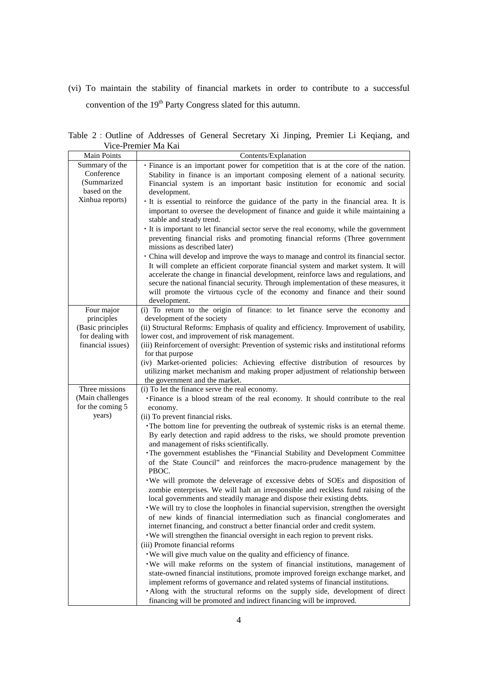(vi) To maintain the stability of financial markets in order to contribute to a successful convention of the 19<sup>th</sup> Party Congress slated for this autumn.

Table 2:Outline of Addresses of General Secretary Xi Jinping, Premier Li Keqiang, and Vice-Premier Ma Kai

|                    | тісе-і теніген та тап                                                                    |  |  |
|--------------------|------------------------------------------------------------------------------------------|--|--|
| <b>Main Points</b> | Contents/Explanation                                                                     |  |  |
| Summary of the     | • Finance is an important power for competition that is at the core of the nation.       |  |  |
| Conference         | Stability in finance is an important composing element of a national security.           |  |  |
| (Summarized)       | Financial system is an important basic institution for economic and social               |  |  |
| based on the       | development.                                                                             |  |  |
| Xinhua reports)    | · It is essential to reinforce the guidance of the party in the financial area. It is    |  |  |
|                    | important to oversee the development of finance and guide it while maintaining a         |  |  |
|                    | stable and steady trend.                                                                 |  |  |
|                    | · It is important to let financial sector serve the real economy, while the government   |  |  |
|                    | preventing financial risks and promoting financial reforms (Three government             |  |  |
|                    | missions as described later)                                                             |  |  |
|                    |                                                                                          |  |  |
|                    | · China will develop and improve the ways to manage and control its financial sector.    |  |  |
|                    | It will complete an efficient corporate financial system and market system. It will      |  |  |
|                    | accelerate the change in financial development, reinforce laws and regulations, and      |  |  |
|                    | secure the national financial security. Through implementation of these measures, it     |  |  |
|                    | will promote the virtuous cycle of the economy and finance and their sound               |  |  |
|                    | development.                                                                             |  |  |
| Four major         | (i) To return to the origin of finance: to let finance serve the economy and             |  |  |
| principles         | development of the society                                                               |  |  |
| (Basic principles  | (ii) Structural Reforms: Emphasis of quality and efficiency. Improvement of usability,   |  |  |
| for dealing with   | lower cost, and improvement of risk management.                                          |  |  |
| financial issues)  | (iii) Reinforcement of oversight: Prevention of systemic risks and institutional reforms |  |  |
|                    | for that purpose                                                                         |  |  |
|                    | (iv) Market-oriented policies: Achieving effective distribution of resources by          |  |  |
|                    | utilizing market mechanism and making proper adjustment of relationship between          |  |  |
|                    | the government and the market.                                                           |  |  |
| Three missions     | (i) To let the finance serve the real economy.                                           |  |  |
| (Main challenges   | · Finance is a blood stream of the real economy. It should contribute to the real        |  |  |
| for the coming 5   | economy.                                                                                 |  |  |
| years)             | (ii) To prevent financial risks.                                                         |  |  |
|                    | The bottom line for preventing the outbreak of systemic risks is an eternal theme.       |  |  |
|                    | By early detection and rapid address to the risks, we should promote prevention          |  |  |
|                    | and management of risks scientifically.                                                  |  |  |
|                    | The government establishes the "Financial Stability and Development Committee            |  |  |
|                    | of the State Council" and reinforces the macro-prudence management by the                |  |  |
|                    | PBOC.                                                                                    |  |  |
|                    | . We will promote the deleverage of excessive debts of SOEs and disposition of           |  |  |
|                    | zombie enterprises. We will halt an irresponsible and reckless fund raising of the       |  |  |
|                    | local governments and steadily manage and dispose their existing debts.                  |  |  |
|                    | We will try to close the loopholes in financial supervision, strengthen the oversight    |  |  |
|                    | of new kinds of financial intermediation such as financial conglomerates and             |  |  |
|                    | internet financing, and construct a better financial order and credit system.            |  |  |
|                    | · We will strengthen the financial oversight in each region to prevent risks.            |  |  |
|                    | (iii) Promote financial reforms                                                          |  |  |
|                    | . We will give much value on the quality and efficiency of finance.                      |  |  |
|                    |                                                                                          |  |  |
|                    | · We will make reforms on the system of financial institutions, management of            |  |  |
|                    | state-owned financial institutions, promote improved foreign exchange market, and        |  |  |
|                    | implement reforms of governance and related systems of financial institutions.           |  |  |
|                    | · Along with the structural reforms on the supply side, development of direct            |  |  |
|                    | financing will be promoted and indirect financing will be improved.                      |  |  |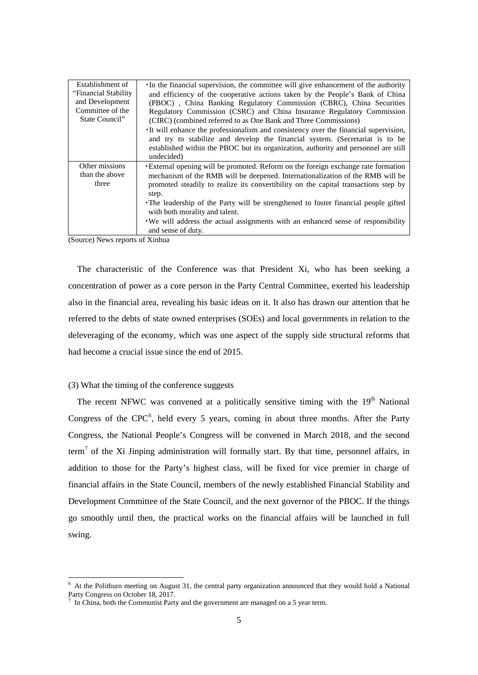| Establishment of<br>"Financial Stability"<br>and Development<br>Committee of the<br>State Council" | In the financial supervision, the committee will give enhancement of the authority<br>and efficiency of the cooperative actions taken by the People's Bank of China<br>(PBOC), China Banking Regulatory Commission (CBRC), China Securities<br>Regulatory Commission (CSRC) and China Insurance Regulatory Commission<br>(CIRC) (combined referred to as One Bank and Three Commissions)<br>It will enhance the professionalism and consistency over the financial supervision,<br>and try to stabilize and develop the financial system. (Secretariat is to be<br>established within the PBOC but its organization, authority and personnel are still<br>undecided) |
|----------------------------------------------------------------------------------------------------|----------------------------------------------------------------------------------------------------------------------------------------------------------------------------------------------------------------------------------------------------------------------------------------------------------------------------------------------------------------------------------------------------------------------------------------------------------------------------------------------------------------------------------------------------------------------------------------------------------------------------------------------------------------------|
| Other missions<br>than the above<br>three                                                          | <b>External opening will be promoted. Reform on the foreign exchange rate formation</b><br>mechanism of the RMB will be deepened. Internationalization of the RMB will be<br>promoted steadily to realize its convertibility on the capital transactions step by<br>step.<br>• The leadership of the Party will be strengthened to foster financial people gifted<br>with both morality and talent.<br>. We will address the actual assignments with an enhanced sense of responsibility<br>and sense of duty.                                                                                                                                                       |

(Source) News reports of Xinhua

The characteristic of the Conference was that President Xi, who has been seeking a concentration of power as a core person in the Party Central Committee, exerted his leadership also in the financial area, revealing his basic ideas on it. It also has drawn our attention that he referred to the debts of state owned enterprises (SOEs) and local governments in relation to the deleveraging of the economy, which was one aspect of the supply side structural reforms that had become a crucial issue since the end of 2015.

# (3) What the timing of the conference suggests

The recent NFWC was convened at a politically sensitive timing with the  $19<sup>th</sup>$  National Congress of the  $CPC<sup>6</sup>$  $CPC<sup>6</sup>$  $CPC<sup>6</sup>$ , held every 5 years, coming in about three months. After the Party Congress, the National People's Congress will be convened in March 2018, and the second term<sup>[7](#page-4-1)</sup> of the Xi Jinping administration will formally start. By that time, personnel affairs, in addition to those for the Party's highest class, will be fixed for vice premier in charge of financial affairs in the State Council, members of the newly established Financial Stability and Development Committee of the State Council, and the next governor of the PBOC. If the things go smoothly until then, the practical works on the financial affairs will be launched in full swing.

<span id="page-4-0"></span> $6$  At the Politburo meeting on August 31, the central party organization announced that they would hold a National  $\frac{1}{7}$  and  $\frac{1}{7}$  Congress on October 18, 2017.

<span id="page-4-1"></span>In China, both the Communist Party and the government are managed on a 5 year term.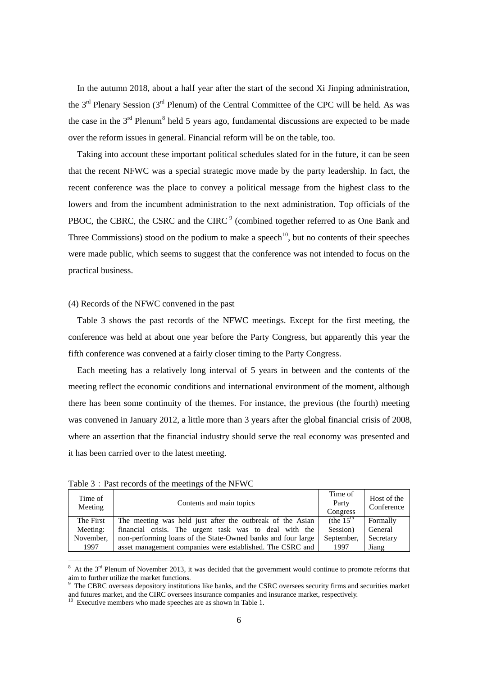In the autumn 2018, about a half year after the start of the second Xi Jinping administration, the  $3<sup>rd</sup>$  Plenary Session (3<sup>rd</sup> Plenum) of the Central Committee of the CPC will be held. As was the case in the  $3<sup>rd</sup>$  Plenum<sup>[8](#page-5-0)</sup> held 5 years ago, fundamental discussions are expected to be made over the reform issues in general. Financial reform will be on the table, too.

Taking into account these important political schedules slated for in the future, it can be seen that the recent NFWC was a special strategic move made by the party leadership. In fact, the recent conference was the place to convey a political message from the highest class to the lowers and from the incumbent administration to the next administration. Top officials of the PBOC, the CBRC, the CSRC and the CIRC<sup>[9](#page-5-1)</sup> (combined together referred to as One Bank and Three Commissions) stood on the podium to make a speech<sup>10</sup>, but no contents of their speeches were made public, which seems to suggest that the conference was not intended to focus on the practical business.

#### (4) Records of the NFWC convened in the past

Table 3 shows the past records of the NFWC meetings. Except for the first meeting, the conference was held at about one year before the Party Congress, but apparently this year the fifth conference was convened at a fairly closer timing to the Party Congress.

Each meeting has a relatively long interval of 5 years in between and the contents of the meeting reflect the economic conditions and international environment of the moment, although there has been some continuity of the themes. For instance, the previous (the fourth) meeting was convened in January 2012, a little more than 3 years after the global financial crisis of 2008, where an assertion that the financial industry should serve the real economy was presented and it has been carried over to the latest meeting.

| Time of<br>Meeting | Contents and main topics                                     | Time of<br>Party<br>Congress | Host of the<br>Conference |
|--------------------|--------------------------------------------------------------|------------------------------|---------------------------|
| The First          | The meeting was held just after the outbreak of the Asian    | (the $15th$                  | Formally                  |
| Meeting:           | financial crisis. The urgent task was to deal with the       | Session)                     | General                   |
| November,          | non-performing loans of the State-Owned banks and four large | September,                   | Secretary                 |
| 1997               | asset management companies were established. The CSRC and    | 1997                         | Jiang                     |

Table 3: Past records of the meetings of the NFWC

<span id="page-5-0"></span> $8$  At the  $3<sup>rd</sup>$  Plenum of November 2013, it was decided that the government would continue to promote reforms that aim to further utilize the market functions.

<span id="page-5-1"></span><sup>9</sup> The CBRC overseas depository institutions like banks, and the CSRC oversees security firms and securities market and futures market, and the CIRC oversees insurance companies and insurance market, respectively.<br><sup>10</sup> Executive members who made speeches are as shown in Table 1.

<span id="page-5-2"></span>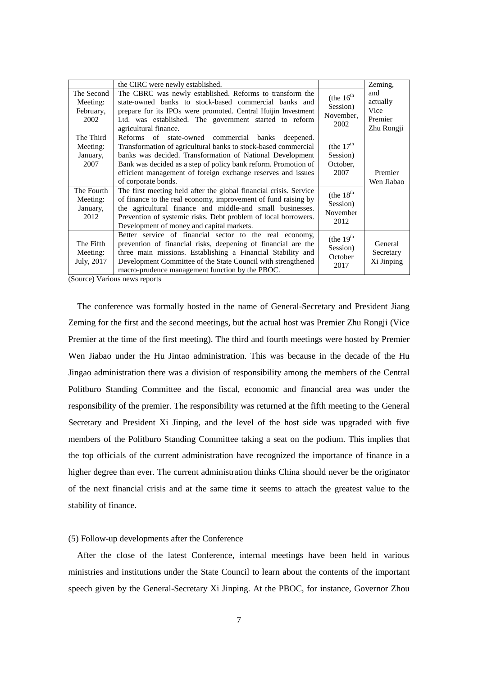| The Second<br>Meeting:<br>February,<br>2002 | the CIRC were newly established.<br>The CBRC was newly established. Reforms to transform the<br>state-owned banks to stock-based commercial banks and<br>prepare for its IPOs were promoted. Central Huijin Investment<br>Ltd. was established. The government started to reform<br>agricultural finance.                                    | (the $16^{th}$<br>Session)<br>November,<br>2002  | Zeming,<br>and<br>actually<br>Vice<br>Premier<br>Zhu Rongji |
|---------------------------------------------|----------------------------------------------------------------------------------------------------------------------------------------------------------------------------------------------------------------------------------------------------------------------------------------------------------------------------------------------|--------------------------------------------------|-------------------------------------------------------------|
| The Third<br>Meeting:<br>January,<br>2007   | Reforms of state-owned commercial banks<br>deepened.<br>Transformation of agricultural banks to stock-based commercial<br>banks was decided. Transformation of National Development<br>Bank was decided as a step of policy bank reform. Promotion of<br>efficient management of foreign exchange reserves and issues<br>of corporate bonds. | (the $17th$<br>Session)<br>October,<br>2007      | Premier<br>Wen Jiabao                                       |
| The Fourth<br>Meeting:<br>January,<br>2012  | The first meeting held after the global financial crisis. Service<br>of finance to the real economy, improvement of fund raising by<br>the agricultural finance and middle-and small businesses.<br>Prevention of systemic risks. Debt problem of local borrowers.<br>Development of money and capital markets.                              | (the $18^{th}$ )<br>Session)<br>November<br>2012 |                                                             |
| The Fifth<br>Meeting:<br>July, 2017         | Better service of financial sector to the real economy,<br>prevention of financial risks, deepening of financial are the<br>three main missions. Establishing a Financial Stability and<br>Development Committee of the State Council with strengthened<br>macro-prudence management function by the PBOC.                                   | (the $19th$<br>Session)<br>October<br>2017       | General<br>Secretary<br>Xi Jinping                          |

(Source) Various news reports

The conference was formally hosted in the name of General-Secretary and President Jiang Zeming for the first and the second meetings, but the actual host was Premier Zhu Rongji (Vice Premier at the time of the first meeting). The third and fourth meetings were hosted by Premier Wen Jiabao under the Hu Jintao administration. This was because in the decade of the Hu Jingao administration there was a division of responsibility among the members of the Central Politburo Standing Committee and the fiscal, economic and financial area was under the responsibility of the premier. The responsibility was returned at the fifth meeting to the General Secretary and President Xi Jinping, and the level of the host side was upgraded with five members of the Politburo Standing Committee taking a seat on the podium. This implies that the top officials of the current administration have recognized the importance of finance in a higher degree than ever. The current administration thinks China should never be the originator of the next financial crisis and at the same time it seems to attach the greatest value to the stability of finance.

## (5) Follow-up developments after the Conference

After the close of the latest Conference, internal meetings have been held in various ministries and institutions under the State Council to learn about the contents of the important speech given by the General-Secretary Xi Jinping. At the PBOC, for instance, Governor Zhou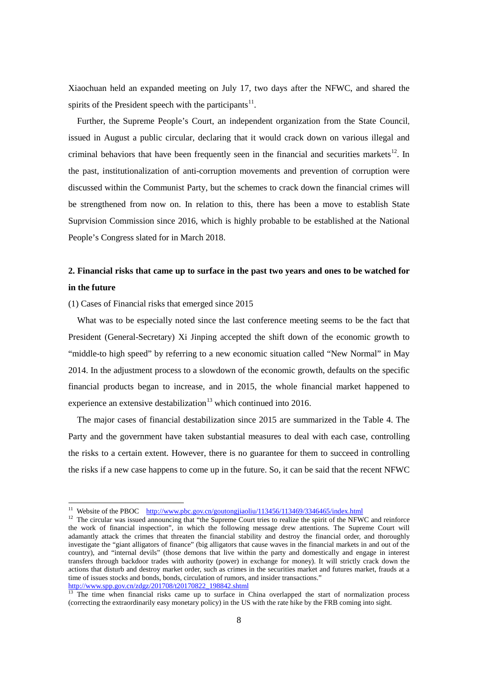Xiaochuan held an expanded meeting on July 17, two days after the NFWC, and shared the spirits of the President speech with the participants<sup>[11](#page-7-0)</sup>.

Further, the Supreme People's Court, an independent organization from the State Council, issued in August a public circular, declaring that it would crack down on various illegal and criminal behaviors that have been frequently seen in the financial and securities markets<sup>12</sup>. In the past, institutionalization of anti-corruption movements and prevention of corruption were discussed within the Communist Party, but the schemes to crack down the financial crimes will be strengthened from now on. In relation to this, there has been a move to establish State Suprvision Commission since 2016, which is highly probable to be established at the National People's Congress slated for in March 2018.

# **2. Financial risks that came up to surface in the past two years and ones to be watched for in the future**

(1) Cases of Financial risks that emerged since 2015

What was to be especially noted since the last conference meeting seems to be the fact that President (General-Secretary) Xi Jinping accepted the shift down of the economic growth to "middle-to high speed" by referring to a new economic situation called "New Normal" in May 2014. In the adjustment process to a slowdown of the economic growth, defaults on the specific financial products began to increase, and in 2015, the whole financial market happened to experience an extensive destabilization<sup>[13](#page-7-2)</sup> which continued into 2016.

The major cases of financial destabilization since 2015 are summarized in the Table 4. The Party and the government have taken substantial measures to deal with each case, controlling the risks to a certain extent. However, there is no guarantee for them to succeed in controlling the risks if a new case happens to come up in the future. So, it can be said that the recent NFWC

<span id="page-7-1"></span><span id="page-7-0"></span><sup>&</sup>lt;sup>11</sup> Website of the PBOC <http://www.pbc.gov.cn/goutongjiaoliu/113456/113469/3346465/index.html> <sup>12</sup> The circular was issued announcing that "the Supreme Court tries to realize the spirit of the NFWC and reinforce the work of financial inspection", in which the following message drew attentions. The Supreme Court will adamantly attack the crimes that threaten the financial stability and destroy the financial order, and thoroughly investigate the "giant alligators of finance" (big alligators that cause waves in the financial markets in and out of the country), and "internal devils" (those demons that live within the party and domestically and engage in interest transfers through backdoor trades with authority (power) in exchange for money). It will strictly crack down the actions that disturb and destroy market order, such as crimes in the securities market and futures market, frauds at a time of issues stocks and bonds, bonds, circulation of rumors, and insider transactions."<br>http://www.spp.gov.cn/zdgz/201708/t20170822\_198842.shtml

<span id="page-7-2"></span> $\frac{13}{13}$  The time when financial risks came up to surface in China overlapped the start of normalization process (correcting the extraordinarily easy monetary policy) in the US with the rate hike by the FRB coming into sight.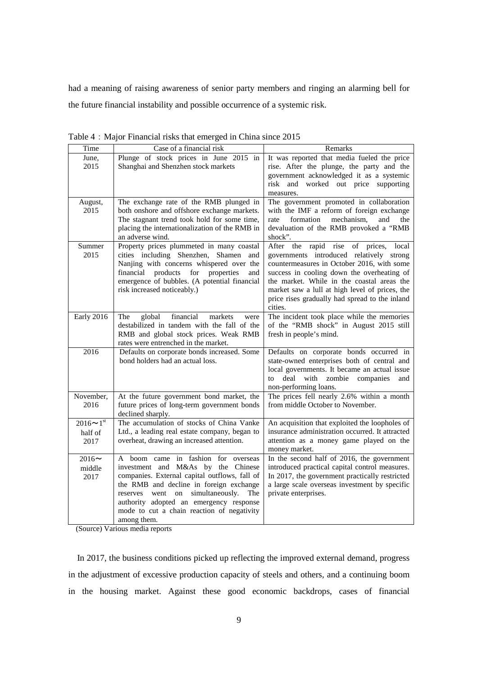had a meaning of raising awareness of senior party members and ringing an alarming bell for the future financial instability and possible occurrence of a systemic risk.

| Time                                  | Case of a financial risk                                                                                                                                                                                                                                                                                                    | Remarks                                                                                                                                                                                                                                                                                                                                       |
|---------------------------------------|-----------------------------------------------------------------------------------------------------------------------------------------------------------------------------------------------------------------------------------------------------------------------------------------------------------------------------|-----------------------------------------------------------------------------------------------------------------------------------------------------------------------------------------------------------------------------------------------------------------------------------------------------------------------------------------------|
| June,<br>2015                         | Plunge of stock prices in June 2015 in<br>Shanghai and Shenzhen stock markets                                                                                                                                                                                                                                               | It was reported that media fueled the price<br>rise. After the plunge, the party and the<br>government acknowledged it as a systemic<br>risk and worked out price supporting<br>measures.                                                                                                                                                     |
| August,<br>2015                       | The exchange rate of the RMB plunged in<br>both onshore and offshore exchange markets.<br>The stagnant trend took hold for some time,<br>placing the internationalization of the RMB in<br>an adverse wind.                                                                                                                 | The government promoted in collaboration<br>with the IMF a reform of foreign exchange<br>mechanism,<br>and<br>formation<br>the<br>rate<br>devaluation of the RMB provoked a "RMB<br>shock".                                                                                                                                                   |
| Summer<br>2015                        | Property prices plummeted in many coastal<br>cities including Shenzhen, Shamen and<br>Nanjing with concerns whispered over the<br>financial products for properties<br>and<br>emergence of bubbles. (A potential financial<br>risk increased noticeably.)                                                                   | After the rapid rise of prices,<br>local<br>governments introduced relatively strong<br>countermeasures in October 2016, with some<br>success in cooling down the overheating of<br>the market. While in the coastal areas the<br>market saw a lull at high level of prices, the<br>price rises gradually had spread to the inland<br>cities. |
| Early 2016                            | financial<br>global<br>markets<br>The<br>were<br>destabilized in tandem with the fall of the<br>RMB and global stock prices. Weak RMB<br>rates were entrenched in the market.                                                                                                                                               | The incident took place while the memories<br>of the "RMB shock" in August 2015 still<br>fresh in people's mind.                                                                                                                                                                                                                              |
| 2016                                  | Defaults on corporate bonds increased. Some<br>bond holders had an actual loss.                                                                                                                                                                                                                                             | Defaults on corporate bonds occurred in<br>state-owned enterprises both of central and<br>local governments. It became an actual issue<br>deal<br>with<br>zombie<br>companies<br>and<br>to<br>non-performing loans.                                                                                                                           |
| November,<br>2016                     | At the future government bond market, the<br>future prices of long-term government bonds<br>declined sharply.                                                                                                                                                                                                               | The prices fell nearly 2.6% within a month<br>from middle October to November.                                                                                                                                                                                                                                                                |
| $2016 \sim 1^{st}$<br>half of<br>2017 | The accumulation of stocks of China Vanke<br>Ltd., a leading real estate company, began to<br>overheat, drawing an increased attention.                                                                                                                                                                                     | An acquisition that exploited the loopholes of<br>insurance administration occurred. It attracted<br>attention as a money game played on the<br>money market.                                                                                                                                                                                 |
| $2016 \sim$<br>middle<br>2017         | A boom came in fashion for overseas<br>investment and M&As by the Chinese<br>companies. External capital outflows, fall of<br>the RMB and decline in foreign exchange<br>went on simultaneously.<br>reserves<br>The<br>authority adopted an emergency response<br>mode to cut a chain reaction of negativity<br>among them. | In the second half of 2016, the government<br>introduced practical capital control measures.<br>In 2017, the government practically restricted<br>a large scale overseas investment by specific<br>private enterprises.                                                                                                                       |

Table 4: Major Financial risks that emerged in China since 2015

(Source) Various media reports

In 2017, the business conditions picked up reflecting the improved external demand, progress in the adjustment of excessive production capacity of steels and others, and a continuing boom in the housing market. Against these good economic backdrops, cases of financial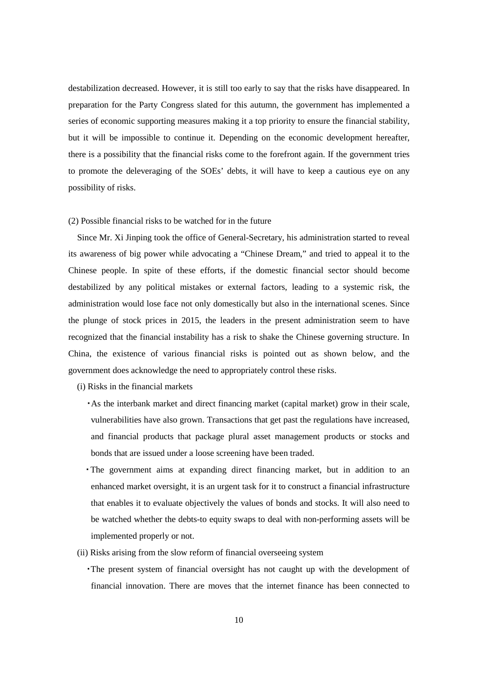destabilization decreased. However, it is still too early to say that the risks have disappeared. In preparation for the Party Congress slated for this autumn, the government has implemented a series of economic supporting measures making it a top priority to ensure the financial stability, but it will be impossible to continue it. Depending on the economic development hereafter, there is a possibility that the financial risks come to the forefront again. If the government tries to promote the deleveraging of the SOEs' debts, it will have to keep a cautious eye on any possibility of risks.

#### (2) Possible financial risks to be watched for in the future

Since Mr. Xi Jinping took the office of General-Secretary, his administration started to reveal its awareness of big power while advocating a "Chinese Dream," and tried to appeal it to the Chinese people. In spite of these efforts, if the domestic financial sector should become destabilized by any political mistakes or external factors, leading to a systemic risk, the administration would lose face not only domestically but also in the international scenes. Since the plunge of stock prices in 2015, the leaders in the present administration seem to have recognized that the financial instability has a risk to shake the Chinese governing structure. In China, the existence of various financial risks is pointed out as shown below, and the government does acknowledge the need to appropriately control these risks.

(i) Risks in the financial markets

- ・As the interbank market and direct financing market (capital market) grow in their scale, vulnerabilities have also grown. Transactions that get past the regulations have increased, and financial products that package plural asset management products or stocks and bonds that are issued under a loose screening have been traded.
- ・The government aims at expanding direct financing market, but in addition to an enhanced market oversight, it is an urgent task for it to construct a financial infrastructure that enables it to evaluate objectively the values of bonds and stocks. It will also need to be watched whether the debts-to equity swaps to deal with non-performing assets will be implemented properly or not.
- (ii) Risks arising from the slow reform of financial overseeing system
	- ・The present system of financial oversight has not caught up with the development of financial innovation. There are moves that the internet finance has been connected to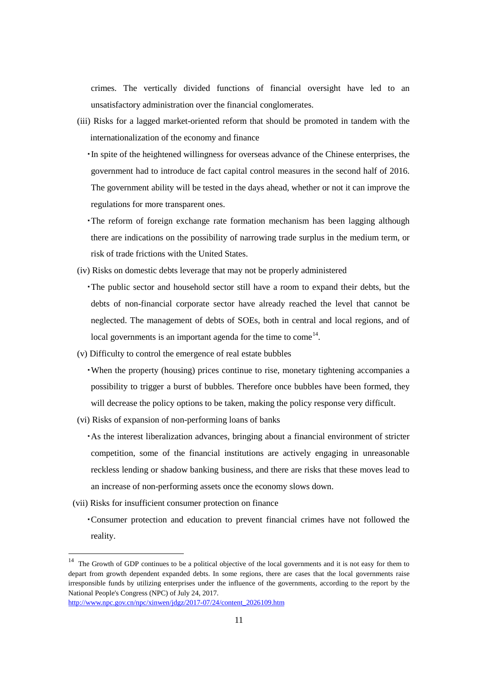crimes. The vertically divided functions of financial oversight have led to an unsatisfactory administration over the financial conglomerates.

(iii) Risks for a lagged market-oriented reform that should be promoted in tandem with the internationalization of the economy and finance

・In spite of the heightened willingness for overseas advance of the Chinese enterprises, the government had to introduce de fact capital control measures in the second half of 2016. The government ability will be tested in the days ahead, whether or not it can improve the regulations for more transparent ones.

- ・The reform of foreign exchange rate formation mechanism has been lagging although there are indications on the possibility of narrowing trade surplus in the medium term, or risk of trade frictions with the United States.
- (iv) Risks on domestic debts leverage that may not be properly administered
	- ・The public sector and household sector still have a room to expand their debts, but the debts of non-financial corporate sector have already reached the level that cannot be neglected. The management of debts of SOEs, both in central and local regions, and of local governments is an important agenda for the time to come<sup>[14](#page-10-0)</sup>.
- (v) Difficulty to control the emergence of real estate bubbles
	- ・When the property (housing) prices continue to rise, monetary tightening accompanies a possibility to trigger a burst of bubbles. Therefore once bubbles have been formed, they will decrease the policy options to be taken, making the policy response very difficult.
- (vi) Risks of expansion of non-performing loans of banks

・As the interest liberalization advances, bringing about a financial environment of stricter competition, some of the financial institutions are actively engaging in unreasonable reckless lending or shadow banking business, and there are risks that these moves lead to an increase of non-performing assets once the economy slows down.

(vii) Risks for insufficient consumer protection on finance

・Consumer protection and education to prevent financial crimes have not followed the reality.

<span id="page-10-0"></span><sup>&</sup>lt;sup>14</sup> The Growth of GDP continues to be a political objective of the local governments and it is not easy for them to depart from growth dependent expanded debts. In some regions, there are cases that the local governments raise irresponsible funds by utilizing enterprises under the influence of the governments, according to the report by the National People's Congress (NPC) of July 24, 2017.

[http://www.npc.gov.cn/npc/xinwen/jdgz/2017-07/24/content\\_2026109.htm](http://www.npc.gov.cn/npc/xinwen/jdgz/2017-07/24/content_2026109.htm)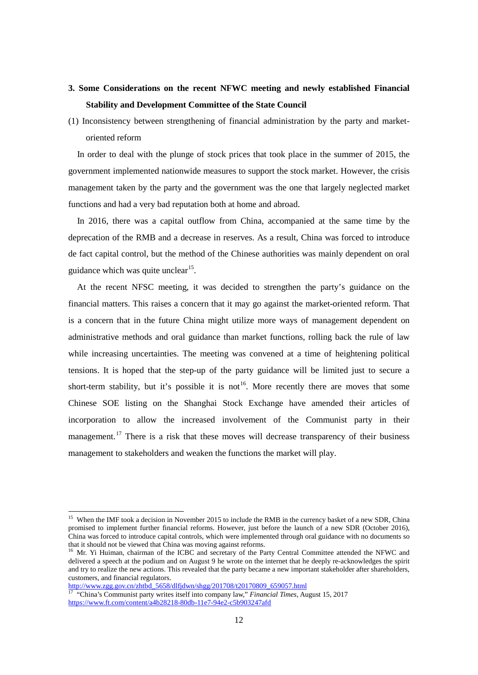# **3. Some Considerations on the recent NFWC meeting and newly established Financial Stability and Development Committee of the State Council**

(1) Inconsistency between strengthening of financial administration by the party and marketoriented reform

In order to deal with the plunge of stock prices that took place in the summer of 2015, the government implemented nationwide measures to support the stock market. However, the crisis management taken by the party and the government was the one that largely neglected market functions and had a very bad reputation both at home and abroad.

In 2016, there was a capital outflow from China, accompanied at the same time by the deprecation of the RMB and a decrease in reserves. As a result, China was forced to introduce de fact capital control, but the method of the Chinese authorities was mainly dependent on oral guidance which was quite unclear $15$ .

At the recent NFSC meeting, it was decided to strengthen the party's guidance on the financial matters. This raises a concern that it may go against the market-oriented reform. That is a concern that in the future China might utilize more ways of management dependent on administrative methods and oral guidance than market functions, rolling back the rule of law while increasing uncertainties. The meeting was convened at a time of heightening political tensions. It is hoped that the step-up of the party guidance will be limited just to secure a short-term stability, but it's possible it is not <sup>[16](#page-11-1)</sup>. More recently there are moves that some Chinese SOE listing on the Shanghai Stock Exchange have amended their articles of incorporation to allow the increased involvement of the Communist party in their management.<sup>[17](#page-11-2)</sup> There is a risk that these moves will decrease transparency of their business management to stakeholders and weaken the functions the market will play.

[http://www.zgg.gov.cn/zhtbd\\_5658/dlfjdwn/shgg/201708/t20170809\\_659057.html](http://www.zgg.gov.cn/zhtbd_5658/dlfjdwn/shgg/201708/t20170809_659057.html)

<span id="page-11-0"></span><sup>&</sup>lt;sup>15</sup> When the IMF took a decision in November 2015 to include the RMB in the currency basket of a new SDR, China promised to implement further financial reforms. However, just before the launch of a new SDR (October 2016), China was forced to introduce capital controls, which were implemented through oral guidance with no documents so that it should not be viewed that China was moving against reforms.

<span id="page-11-1"></span><sup>&</sup>lt;sup>16</sup> Mr. Yi Huiman, chairman of the ICBC and secretary of the Party Central Committee attended the NFWC and delivered a speech at the podium and on August 9 he wrote on the internet that he deeply re-acknowledges the spirit and try to realize the new actions. This revealed that the party became a new important stakeholder after shareholders, customers, and financial regulators.

<span id="page-11-2"></span><sup>&</sup>lt;sup>17</sup> "China's Communist party writes itself into company law," *Financial Times*, August 15, 2017 <https://www.ft.com/content/a4b28218-80db-11e7-94e2-c5b903247afd>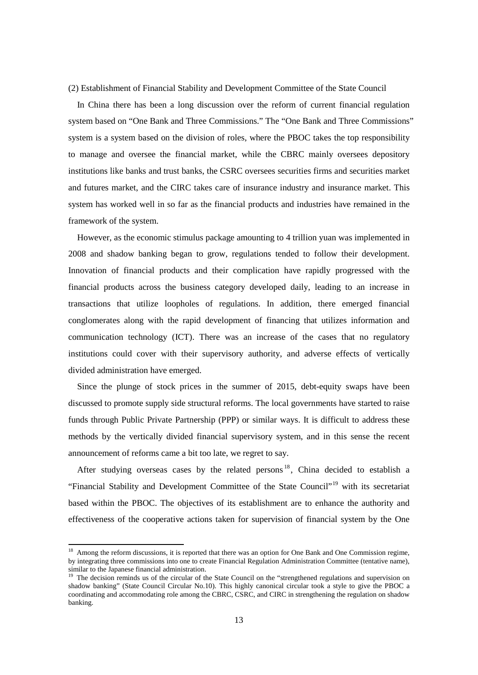(2) Establishment of Financial Stability and Development Committee of the State Council

In China there has been a long discussion over the reform of current financial regulation system based on "One Bank and Three Commissions." The "One Bank and Three Commissions" system is a system based on the division of roles, where the PBOC takes the top responsibility to manage and oversee the financial market, while the CBRC mainly oversees depository institutions like banks and trust banks, the CSRC oversees securities firms and securities market and futures market, and the CIRC takes care of insurance industry and insurance market. This system has worked well in so far as the financial products and industries have remained in the framework of the system.

However, as the economic stimulus package amounting to 4 trillion yuan was implemented in 2008 and shadow banking began to grow, regulations tended to follow their development. Innovation of financial products and their complication have rapidly progressed with the financial products across the business category developed daily, leading to an increase in transactions that utilize loopholes of regulations. In addition, there emerged financial conglomerates along with the rapid development of financing that utilizes information and communication technology (ICT). There was an increase of the cases that no regulatory institutions could cover with their supervisory authority, and adverse effects of vertically divided administration have emerged.

Since the plunge of stock prices in the summer of 2015, debt-equity swaps have been discussed to promote supply side structural reforms. The local governments have started to raise funds through Public Private Partnership (PPP) or similar ways. It is difficult to address these methods by the vertically divided financial supervisory system, and in this sense the recent announcement of reforms came a bit too late, we regret to say.

After studying overseas cases by the related persons  $18$ . China decided to establish a "Financial Stability and Development Committee of the State Council"<sup>[19](#page-12-1)</sup> with its secretariat based within the PBOC. The objectives of its establishment are to enhance the authority and effectiveness of the cooperative actions taken for supervision of financial system by the One

<span id="page-12-0"></span><sup>&</sup>lt;sup>18</sup> Among the reform discussions, it is reported that there was an option for One Bank and One Commission regime, by integrating three commissions into one to create Financial Regulation Administration Committee (tentative name), similar to the Japanese financial administration.

<span id="page-12-1"></span><sup>&</sup>lt;sup>19</sup> The decision reminds us of the circular of the State Council on the "strengthened regulations and supervision on shadow banking" (State Council Circular No.10). This highly canonical circular took a style to give the PBOC a coordinating and accommodating role among the CBRC, CSRC, and CIRC in strengthening the regulation on shadow banking.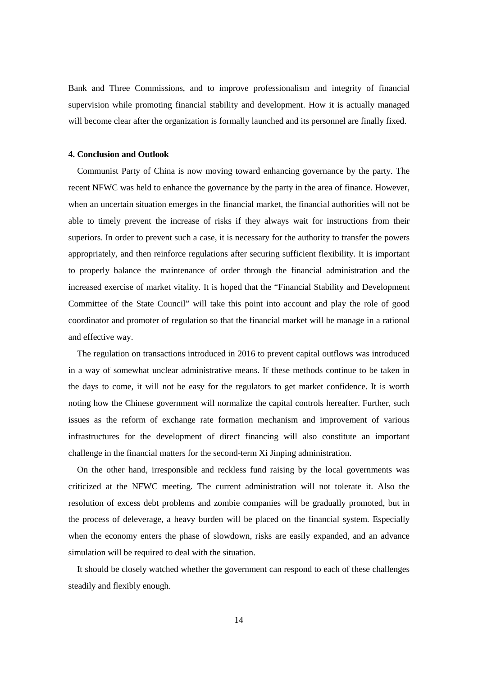Bank and Three Commissions, and to improve professionalism and integrity of financial supervision while promoting financial stability and development. How it is actually managed will become clear after the organization is formally launched and its personnel are finally fixed.

## **4. Conclusion and Outlook**

Communist Party of China is now moving toward enhancing governance by the party. The recent NFWC was held to enhance the governance by the party in the area of finance. However, when an uncertain situation emerges in the financial market, the financial authorities will not be able to timely prevent the increase of risks if they always wait for instructions from their superiors. In order to prevent such a case, it is necessary for the authority to transfer the powers appropriately, and then reinforce regulations after securing sufficient flexibility. It is important to properly balance the maintenance of order through the financial administration and the increased exercise of market vitality. It is hoped that the "Financial Stability and Development Committee of the State Council" will take this point into account and play the role of good coordinator and promoter of regulation so that the financial market will be manage in a rational and effective way.

The regulation on transactions introduced in 2016 to prevent capital outflows was introduced in a way of somewhat unclear administrative means. If these methods continue to be taken in the days to come, it will not be easy for the regulators to get market confidence. It is worth noting how the Chinese government will normalize the capital controls hereafter. Further, such issues as the reform of exchange rate formation mechanism and improvement of various infrastructures for the development of direct financing will also constitute an important challenge in the financial matters for the second-term Xi Jinping administration.

On the other hand, irresponsible and reckless fund raising by the local governments was criticized at the NFWC meeting. The current administration will not tolerate it. Also the resolution of excess debt problems and zombie companies will be gradually promoted, but in the process of deleverage, a heavy burden will be placed on the financial system. Especially when the economy enters the phase of slowdown, risks are easily expanded, and an advance simulation will be required to deal with the situation.

It should be closely watched whether the government can respond to each of these challenges steadily and flexibly enough.